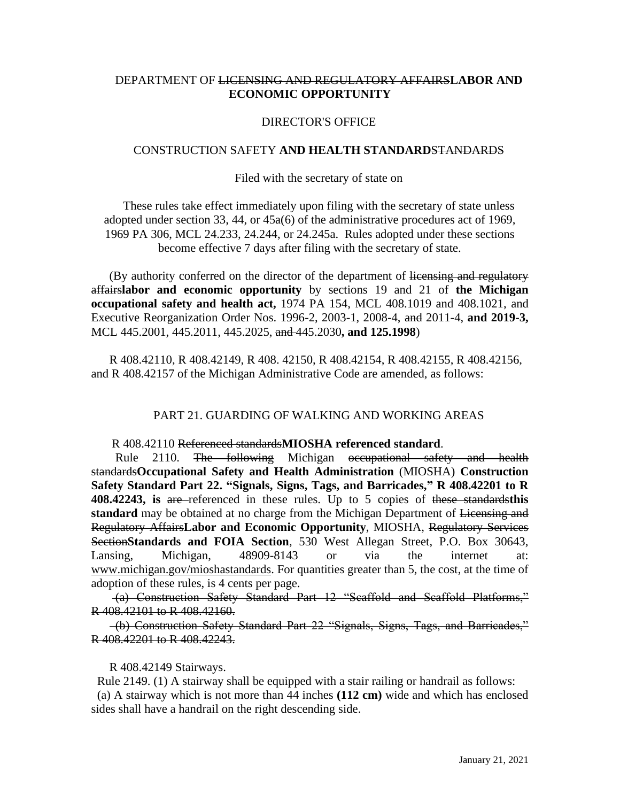# DEPARTMENT OF LICENSING AND REGULATORY AFFAIRS**LABOR AND ECONOMIC OPPORTUNITY**

## DIRECTOR'S OFFICE

### CONSTRUCTION SAFETY **AND HEALTH STANDARD**STANDARDS

### Filed with the secretary of state on

These rules take effect immediately upon filing with the secretary of state unless adopted under section 33, 44, or 45a(6) of the administrative procedures act of 1969, 1969 PA 306, MCL 24.233, 24.244, or 24.245a. Rules adopted under these sections become effective 7 days after filing with the secretary of state.

(By authority conferred on the director of the department of licensing and regulatory affairs**labor and economic opportunity** by sections 19 and 21 of **the Michigan occupational safety and health act,** 1974 PA 154, MCL 408.1019 and 408.1021, and Executive Reorganization Order Nos. 1996-2, 2003-1, 2008-4, and 2011-4, **and 2019-3,**  MCL 445.2001, 445.2011, 445.2025, and 445.2030**, and 125.1998**)

R 408.42110, R 408.42149, R 408. 42150, R 408.42154, R 408.42155, R 408.42156, and R 408.42157 of the Michigan Administrative Code are amended, as follows:

### PART 21. GUARDING OF WALKING AND WORKING AREAS

### R 408.42110 Referenced standards**MIOSHA referenced standard**.

Rule 2110. The following Michigan occupational safety and health standards**Occupational Safety and Health Administration** (MIOSHA) **Construction Safety Standard Part 22. "Signals, Signs, Tags, and Barricades," R 408.42201 to R 408.42243, is** are referenced in these rules. Up to 5 copies of these standards**this standard** may be obtained at no charge from the Michigan Department of Licensing and Regulatory Affairs**Labor and Economic Opportunity**, MIOSHA, Regulatory Services Section**Standards and FOIA Section**, 530 West Allegan Street, P.O. Box 30643, Lansing, Michigan, 48909-8143 or via the internet at: [www.michigan.gov/mioshastandards.](http://www.michigan.gov/mioshastandards) For quantities greater than 5, the cost, at the time of adoption of these rules, is 4 cents per page.

(a) Construction Safety Standard Part 12 "Scaffold and Scaffold Platforms," R 408.42101 to R 408.42160.

 (b) Construction Safety Standard Part 22 "Signals, Signs, Tags, and Barricades," R 408.42201 to R 408.42243.

#### R 408.42149 Stairways.

 Rule 2149. (1) A stairway shall be equipped with a stair railing or handrail as follows: (a) A stairway which is not more than 44 inches **(112 cm)** wide and which has enclosed sides shall have a handrail on the right descending side.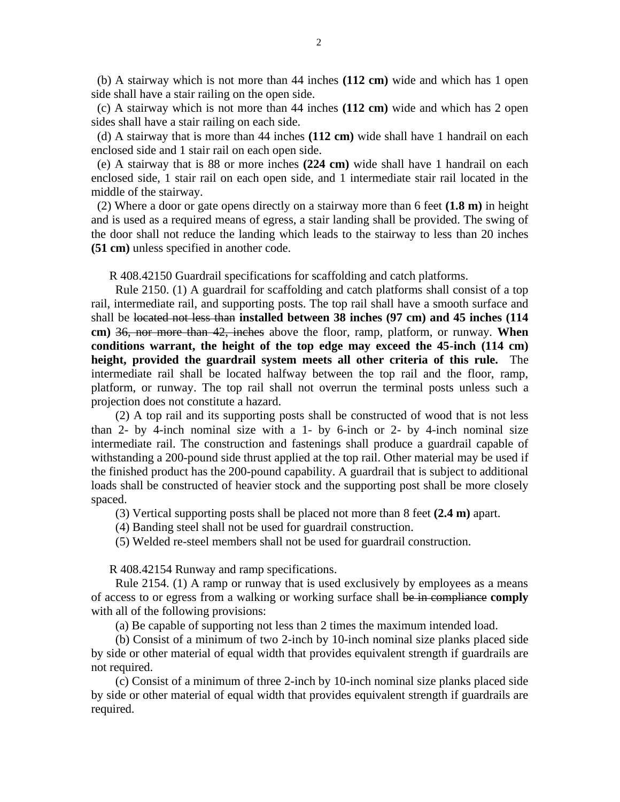(b) A stairway which is not more than 44 inches **(112 cm)** wide and which has 1 open side shall have a stair railing on the open side.

 (c) A stairway which is not more than 44 inches **(112 cm)** wide and which has 2 open sides shall have a stair railing on each side.

 (d) A stairway that is more than 44 inches **(112 cm)** wide shall have 1 handrail on each enclosed side and 1 stair rail on each open side.

 (e) A stairway that is 88 or more inches **(224 cm)** wide shall have 1 handrail on each enclosed side, 1 stair rail on each open side, and 1 intermediate stair rail located in the middle of the stairway.

 (2) Where a door or gate opens directly on a stairway more than 6 feet **(1.8 m)** in height and is used as a required means of egress, a stair landing shall be provided. The swing of the door shall not reduce the landing which leads to the stairway to less than 20 inches **(51 cm)** unless specified in another code.

R 408.42150 Guardrail specifications for scaffolding and catch platforms.

 Rule 2150. (1) A guardrail for scaffolding and catch platforms shall consist of a top rail, intermediate rail, and supporting posts. The top rail shall have a smooth surface and shall be located not less than **installed between 38 inches (97 cm) and 45 inches (114 cm)** 36, nor more than 42, inches above the floor, ramp, platform, or runway. **When conditions warrant, the height of the top edge may exceed the 45-inch (114 cm) height, provided the guardrail system meets all other criteria of this rule.** The intermediate rail shall be located halfway between the top rail and the floor, ramp, platform, or runway. The top rail shall not overrun the terminal posts unless such a projection does not constitute a hazard.

 (2) A top rail and its supporting posts shall be constructed of wood that is not less than 2- by 4-inch nominal size with a 1- by 6-inch or 2- by 4-inch nominal size intermediate rail. The construction and fastenings shall produce a guardrail capable of withstanding a 200-pound side thrust applied at the top rail. Other material may be used if the finished product has the 200-pound capability. A guardrail that is subject to additional loads shall be constructed of heavier stock and the supporting post shall be more closely spaced.

(3) Vertical supporting posts shall be placed not more than 8 feet **(2.4 m)** apart.

(4) Banding steel shall not be used for guardrail construction.

(5) Welded re-steel members shall not be used for guardrail construction.

R 408.42154 Runway and ramp specifications.

 Rule 2154. (1) A ramp or runway that is used exclusively by employees as a means of access to or egress from a walking or working surface shall be in compliance **comply** with all of the following provisions:

(a) Be capable of supporting not less than 2 times the maximum intended load.

 (b) Consist of a minimum of two 2-inch by 10-inch nominal size planks placed side by side or other material of equal width that provides equivalent strength if guardrails are not required.

(c) Consist of a minimum of three 2-inch by 10-inch nominal size planks placed side by side or other material of equal width that provides equivalent strength if guardrails are required.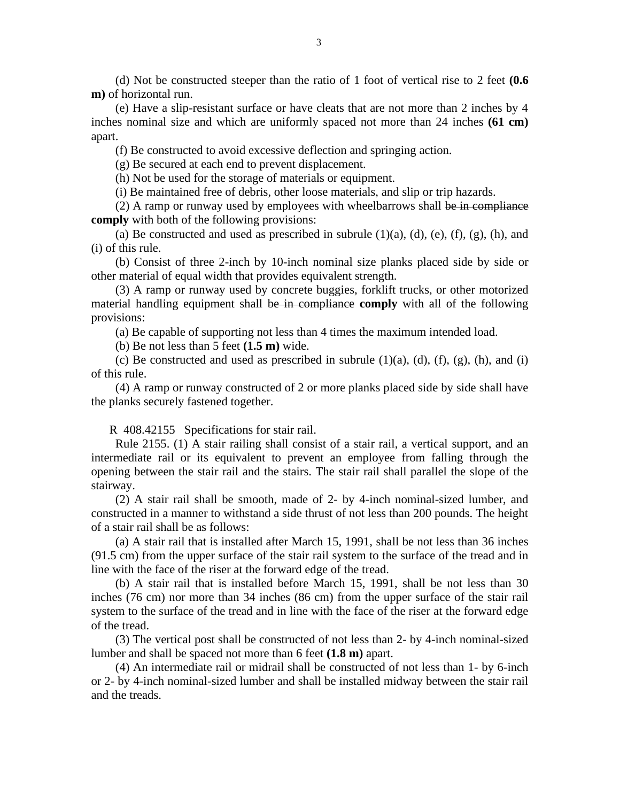(d) Not be constructed steeper than the ratio of 1 foot of vertical rise to 2 feet **(0.6 m)** of horizontal run.

 (e) Have a slip-resistant surface or have cleats that are not more than 2 inches by 4 inches nominal size and which are uniformly spaced not more than 24 inches **(61 cm)** apart.

(f) Be constructed to avoid excessive deflection and springing action.

(g) Be secured at each end to prevent displacement.

(h) Not be used for the storage of materials or equipment.

(i) Be maintained free of debris, other loose materials, and slip or trip hazards.

 (2) A ramp or runway used by employees with wheelbarrows shall be in compliance **comply** with both of the following provisions:

(a) Be constructed and used as prescribed in subrule  $(1)(a)$ ,  $(d)$ ,  $(e)$ ,  $(f)$ ,  $(g)$ ,  $(h)$ , and (i) of this rule.

 (b) Consist of three 2-inch by 10-inch nominal size planks placed side by side or other material of equal width that provides equivalent strength.

 (3) A ramp or runway used by concrete buggies, forklift trucks, or other motorized material handling equipment shall be in compliance **comply** with all of the following provisions:

(a) Be capable of supporting not less than 4 times the maximum intended load.

(b) Be not less than 5 feet **(1.5 m)** wide.

(c) Be constructed and used as prescribed in subrule  $(1)(a)$ ,  $(d)$ ,  $(f)$ ,  $(g)$ ,  $(h)$ , and  $(i)$ of this rule.

 (4) A ramp or runway constructed of 2 or more planks placed side by side shall have the planks securely fastened together.

R 408.42155 Specifications for stair rail.

 Rule 2155. (1) A stair railing shall consist of a stair rail, a vertical support, and an intermediate rail or its equivalent to prevent an employee from falling through the opening between the stair rail and the stairs. The stair rail shall parallel the slope of the stairway.

 (2) A stair rail shall be smooth, made of 2- by 4-inch nominal-sized lumber, and constructed in a manner to withstand a side thrust of not less than 200 pounds. The height of a stair rail shall be as follows:

 (a) A stair rail that is installed after March 15, 1991, shall be not less than 36 inches (91.5 cm) from the upper surface of the stair rail system to the surface of the tread and in line with the face of the riser at the forward edge of the tread.

 (b) A stair rail that is installed before March 15, 1991, shall be not less than 30 inches (76 cm) nor more than 34 inches (86 cm) from the upper surface of the stair rail system to the surface of the tread and in line with the face of the riser at the forward edge of the tread.

(3) The vertical post shall be constructed of not less than 2- by 4-inch nominal-sized lumber and shall be spaced not more than 6 feet **(1.8 m)** apart.

 (4) An intermediate rail or midrail shall be constructed of not less than 1- by 6-inch or 2- by 4-inch nominal-sized lumber and shall be installed midway between the stair rail and the treads.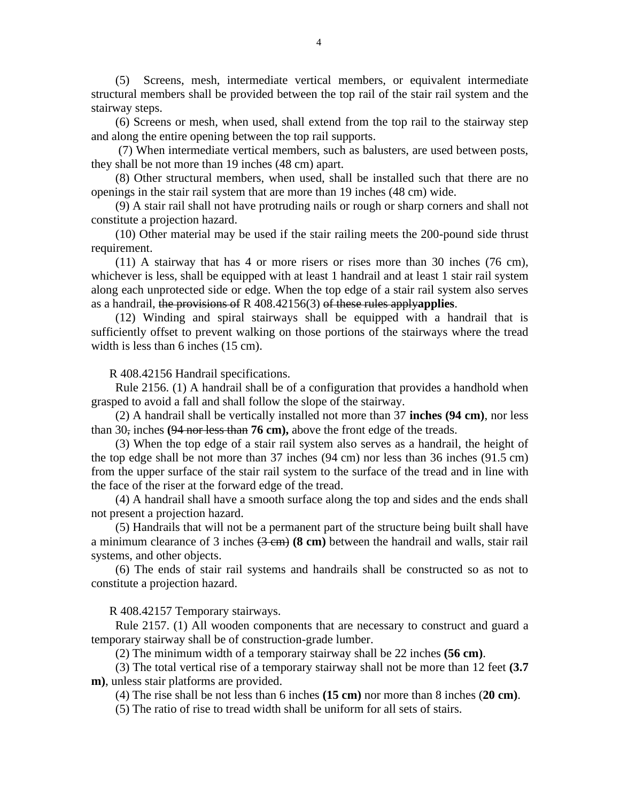(5) Screens, mesh, intermediate vertical members, or equivalent intermediate structural members shall be provided between the top rail of the stair rail system and the stairway steps.

 (6) Screens or mesh, when used, shall extend from the top rail to the stairway step and along the entire opening between the top rail supports.

 (7) When intermediate vertical members, such as balusters, are used between posts, they shall be not more than 19 inches (48 cm) apart.

 (8) Other structural members, when used, shall be installed such that there are no openings in the stair rail system that are more than 19 inches (48 cm) wide.

 (9) A stair rail shall not have protruding nails or rough or sharp corners and shall not constitute a projection hazard.

 (10) Other material may be used if the stair railing meets the 200-pound side thrust requirement.

 (11) A stairway that has 4 or more risers or rises more than 30 inches (76 cm), whichever is less, shall be equipped with at least 1 handrail and at least 1 stair rail system along each unprotected side or edge. When the top edge of a stair rail system also serves as a handrail, the provisions of R 408.42156(3) of these rules apply**applies**.

 (12) Winding and spiral stairways shall be equipped with a handrail that is sufficiently offset to prevent walking on those portions of the stairways where the tread width is less than 6 inches (15 cm).

R 408.42156 Handrail specifications.

 Rule 2156. (1) A handrail shall be of a configuration that provides a handhold when grasped to avoid a fall and shall follow the slope of the stairway.

 (2) A handrail shall be vertically installed not more than 37 **inches (94 cm)**, nor less than 30, inches **(**94 nor less than **76 cm),** above the front edge of the treads.

 (3) When the top edge of a stair rail system also serves as a handrail, the height of the top edge shall be not more than 37 inches (94 cm) nor less than 36 inches (91.5 cm) from the upper surface of the stair rail system to the surface of the tread and in line with the face of the riser at the forward edge of the tread.

 (4) A handrail shall have a smooth surface along the top and sides and the ends shall not present a projection hazard.

 (5) Handrails that will not be a permanent part of the structure being built shall have a minimum clearance of 3 inches (3 cm) **(8 cm)** between the handrail and walls, stair rail systems, and other objects.

 (6) The ends of stair rail systems and handrails shall be constructed so as not to constitute a projection hazard.

R 408.42157 Temporary stairways.

 Rule 2157. (1) All wooden components that are necessary to construct and guard a temporary stairway shall be of construction-grade lumber.

(2) The minimum width of a temporary stairway shall be 22 inches **(56 cm)**.

 (3) The total vertical rise of a temporary stairway shall not be more than 12 feet **(3.7 m)**, unless stair platforms are provided.

(4) The rise shall be not less than 6 inches **(15 cm)** nor more than 8 inches (**20 cm)**.

(5) The ratio of rise to tread width shall be uniform for all sets of stairs.